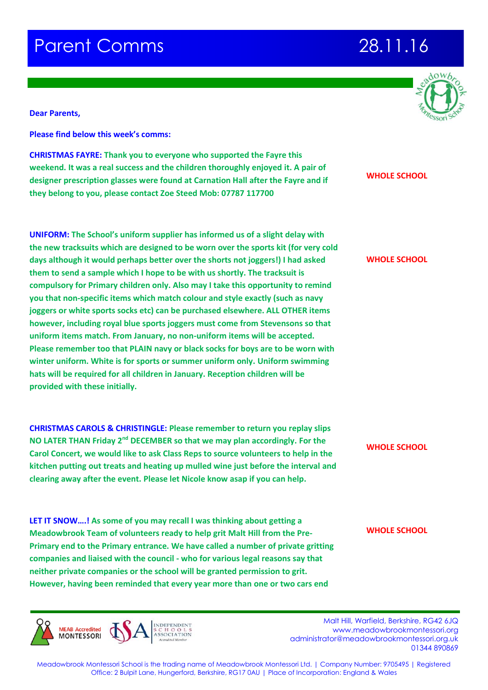## **Parent Comms 28.11.16**

**Dear Parents,**

**Please find below this week's comms:**

**CHRISTMAS FAYRE: Thank you to everyone who supported the Fayre this weekend. It was a real success and the children thoroughly enjoyed it. A pair of designer prescription glasses were found at Carnation Hall after the Fayre and if they belong to you, please contact Zoe Steed Mob: 07787 117700**

**UNIFORM: The School's uniform supplier has informed us of a slight delay with the new tracksuits which are designed to be worn over the sports kit (for very cold days although it would perhaps better over the shorts not joggers!) I had asked them to send a sample which I hope to be with us shortly. The tracksuit is compulsory for Primary children only. Also may I take this opportunity to remind you that non-specific items which match colour and style exactly (such as navy joggers or white sports socks etc) can be purchased elsewhere. ALL OTHER items however, including royal blue sports joggers must come from Stevensons so that uniform items match. From January, no non-uniform items will be accepted. Please remember too that PLAIN navy or black socks for boys are to be worn with winter uniform. White is for sports or summer uniform only. Uniform swimming hats will be required for all children in January. Reception children will be provided with these initially.** 

**CHRISTMAS CAROLS & CHRISTINGLE: Please remember to return you replay slips NO LATER THAN Friday 2nd DECEMBER so that we may plan accordingly. For the Carol Concert, we would like to ask Class Reps to source volunteers to help in the kitchen putting out treats and heating up mulled wine just before the interval and clearing away after the event. Please let Nicole know asap if you can help.** 

**LET IT SNOW….! As some of you may recall I was thinking about getting a Meadowbrook Team of volunteers ready to help grit Malt Hill from the Pre-Primary end to the Primary entrance. We have called a number of private gritting companies and liaised with the council - who for various legal reasons say that neither private companies or the school will be granted permission to grit. However, having been reminded that every year more than one or two cars end** 

**MEAB Accredited MONTESSORI** 

 Malt Hill, Warfield, Berkshire, RG42 6JQ www.meadowbrookmontessori.org [administrator@meadowbrookmontessori.org.uk](mailto:administrator@meadowbrookmontessori.org.uk) 01344 890869

Meadowbrook Montessori School is the trading name of Meadowbrook Montessori Ltd. | Company Number: 9705495 | Registered Office: 2 Bulpit Lane, Hungerford, Berkshire, RG17 0AU | Place of Incorporation: England & Wales



### **WHOLE SCHOOL**

**WHOLE SCHOOL**

**WHOLE SCHOOL**

**WHOLE SCHOOL**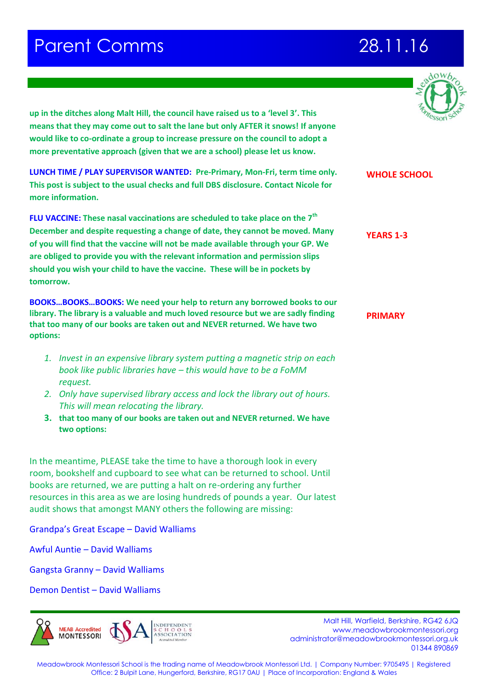## **Parent Comms 28.11.16**

**WHOLE SCHOOL**



**up in the ditches along Malt Hill, the council have raised us to a 'level 3'. This means that they may come out to salt the lane but only AFTER it snows! If anyone would like to co-ordinate a group to increase pressure on the council to adopt a more preventative approach (given that we are a school) please let us know.** 

**LUNCH TIME / PLAY SUPERVISOR WANTED: Pre-Primary, Mon-Fri, term time only. This post is subject to the usual checks and full DBS disclosure. Contact Nicole for more information.** 

**FLU VACCINE: These nasal vaccinations are scheduled to take place on the 7th December and despite requesting a change of date, they cannot be moved. Many of you will find that the vaccine will not be made available through your GP. We are obliged to provide you with the relevant information and permission slips should you wish your child to have the vaccine. These will be in pockets by tomorrow.**

**BOOKS…BOOKS…BOOKS: We need your help to return any borrowed books to our library. The library is a valuable and much loved resource but we are sadly finding that too many of our books are taken out and NEVER returned. We have two options:**

- *1. Invest in an expensive library system putting a magnetic strip on each book like public libraries have – this would have to be a FoMM request.*
- *2. Only have supervised library access and lock the library out of hours. This will mean relocating the library.*
- **3. that too many of our books are taken out and NEVER returned. We have two options:**

In the meantime, PLEASE take the time to have a thorough look in every room, bookshelf and cupboard to see what can be returned to school. Until books are returned, we are putting a halt on re-ordering any further resources in this area as we are losing hundreds of pounds a year. Our latest audit shows that amongst MANY others the following are missing:

Grandpa's Great Escape – David Walliams

Awful Auntie – David Walliams

Gangsta Granny – David Walliams

Demon Dentist – David Walliams



Malt Hill, Warfield, Berkshire, RG42 6JQ www.meadowbrookmontessori.org [administrator@meadowbrookmontessori.org.uk](mailto:administrator@meadowbrookmontessori.org.uk) 01344 890869

Meadowbrook Montessori School is the trading name of Meadowbrook Montessori Ltd. | Company Number: 9705495 | Registered Office: 2 Bulpit Lane, Hungerford, Berkshire, RG17 0AU | Place of Incorporation: England & Wales

**PRIMARY**

**YEARS 1-3**